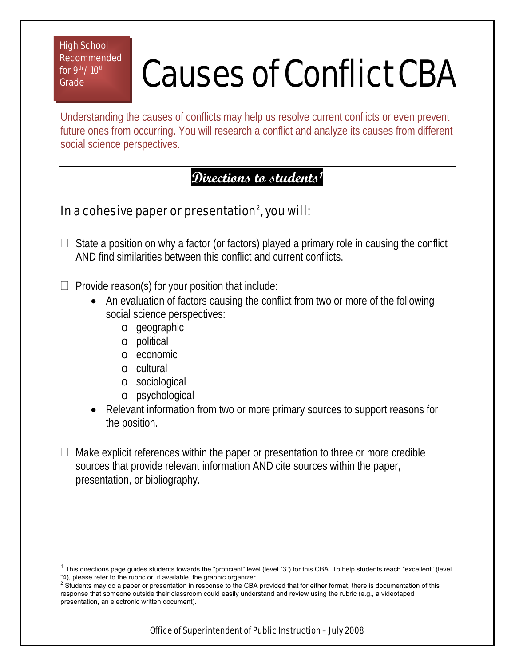High School Recommended for  $9<sup>th</sup> / 10<sup>th</sup>$ **Grade** 

## Causes of Conflict CBA

Understanding the causes of conflicts may help us resolve current conflicts or even prevent future ones from occurring. You will research a conflict and analyze its causes from different social science perspectives.

## **Directions to students[1](#page-0-0)**

## In a cohesive paper or presentation $^2$  $^2$ , you will:

 $\Box$  State a position on why a factor (or factors) played a primary role in causing the conflict AND find similarities between this conflict and current conflicts.

 $\Box$  Provide reason(s) for your position that include:

- An evaluation of factors causing the conflict from two or more of the following social science perspectives:
	- o geographic
	- o political
	- o economic
	- o cultural
	- o sociological
	- o psychological
- Relevant information from two or more primary sources to support reasons for the position.
- Make explicit references within the paper or presentation to three or more credible sources that provide relevant information AND cite sources within the paper, presentation, or bibliography.

<span id="page-0-0"></span> $\overline{\phantom{a}}$  $1$  This directions page guides students towards the "proficient" level (level "3") for this CBA. To help students reach "excellent" (level "4), please refer to the rubric or, if available, the graphic organizer.

<span id="page-0-1"></span> $2\,$  Students may do a paper or presentation in response to the CBA provided that for either format, there is documentation of this response that someone outside their classroom could easily understand and review using the rubric (e.g., a videotaped presentation, an electronic written document).